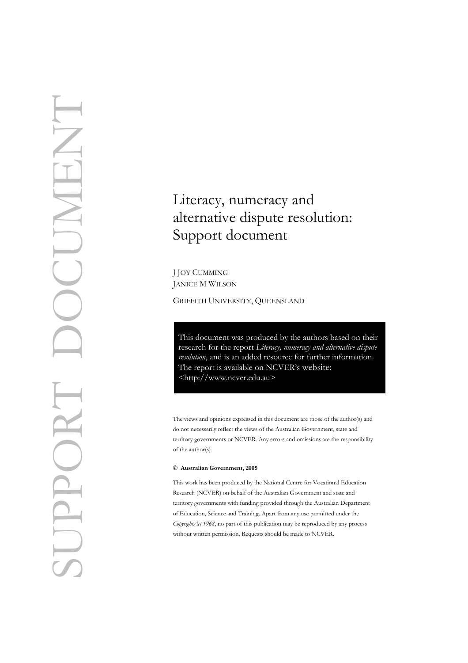# Literacy, numeracy and alternative dispute resolution: Support document

JANICE M WILSON

GRIFFITH UNIVERSITY, QUEENSLAND

This document was produced by the authors based on their research for the report *Literacy, numeracy and alternative dispute resolution*, and is an added resource for further information. The report is available on NCVER's website: <[http://w](http://www.ncver.edu.au/pubs.htm)ww.ncver.edu.au>

The views and opinions expressed in this document are those of the author(s) and do not necessarily reflect the views of the Australian Government, state and territory governments or NCVER. Any errors and omissions are the responsibility of the author(s).

#### **© Australian Government, 2005**

This work has been produced by the National Centre for Vocational Education Research (NCVER) on behalf of the Australian Government and state and territory governments with funding provided through the Australian Department of Education, Science and Training. Apart from any use permitted under the *CopyrightAct 1968*, no part of this publication may be reproduced by any process without written permission. Requests should be made to NCVER.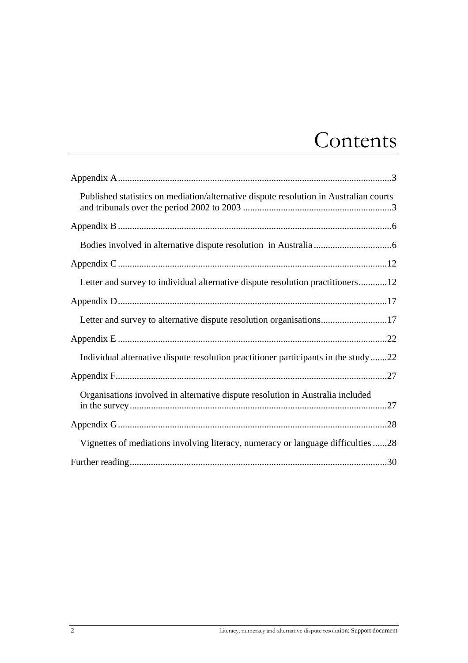## Contents

| Published statistics on mediation/alternative dispute resolution in Australian courts |
|---------------------------------------------------------------------------------------|
|                                                                                       |
|                                                                                       |
|                                                                                       |
| Letter and survey to individual alternative dispute resolution practitioners12        |
|                                                                                       |
| Letter and survey to alternative dispute resolution organisations17                   |
|                                                                                       |
| Individual alternative dispute resolution practitioner participants in the study22    |
|                                                                                       |
| Organisations involved in alternative dispute resolution in Australia included        |
|                                                                                       |
| Vignettes of mediations involving literacy, numeracy or language difficulties28       |
|                                                                                       |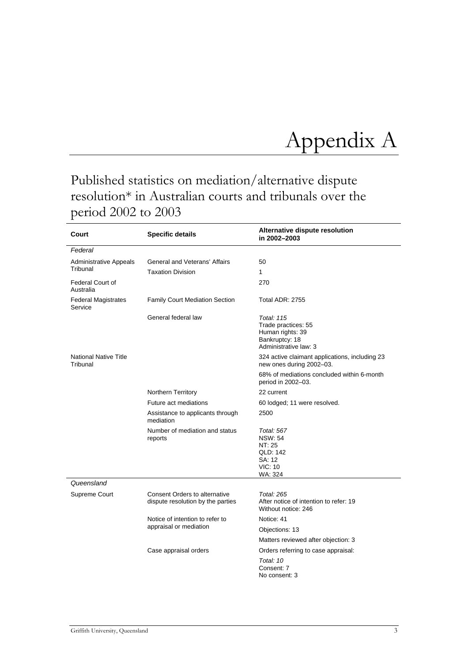## <span id="page-2-0"></span>Appendix A

## <span id="page-2-1"></span>Published statistics on mediation/alternative dispute resolution\* in Australian courts and tribunals over the period 2002 to 2003

| Court                                    | <b>Specific details</b>                                                   | Alternative dispute resolution<br>in 2002-2003                                                          |  |
|------------------------------------------|---------------------------------------------------------------------------|---------------------------------------------------------------------------------------------------------|--|
| Federal                                  |                                                                           |                                                                                                         |  |
| <b>Administrative Appeals</b>            | General and Veterans' Affairs                                             | 50                                                                                                      |  |
| Tribunal                                 | <b>Taxation Division</b>                                                  | 1                                                                                                       |  |
| <b>Federal Court of</b><br>Australia     |                                                                           | 270                                                                                                     |  |
| <b>Federal Magistrates</b><br>Service    | <b>Family Court Mediation Section</b>                                     | <b>Total ADR: 2755</b>                                                                                  |  |
|                                          | General federal law                                                       | <b>Total: 115</b><br>Trade practices: 55<br>Human rights: 39<br>Bankruptcy: 18<br>Administrative law: 3 |  |
| <b>National Native Title</b><br>Tribunal |                                                                           | 324 active claimant applications, including 23<br>new ones during 2002-03.                              |  |
|                                          |                                                                           | 68% of mediations concluded within 6-month<br>period in 2002-03.                                        |  |
|                                          | Northern Territory                                                        | 22 current                                                                                              |  |
|                                          | Future act mediations                                                     | 60 lodged; 11 were resolved.                                                                            |  |
|                                          | Assistance to applicants through<br>mediation                             | 2500                                                                                                    |  |
|                                          | Number of mediation and status<br>reports                                 | <b>Total: 567</b><br><b>NSW: 54</b><br>NT: 25<br>QLD: 142<br>SA: 12<br><b>VIC: 10</b><br>WA: 324        |  |
| Queensland                               |                                                                           |                                                                                                         |  |
| Supreme Court                            | <b>Consent Orders to alternative</b><br>dispute resolution by the parties | <b>Total: 265</b><br>After notice of intention to refer: 19<br>Without notice: 246                      |  |
|                                          | Notice of intention to refer to                                           | Notice: 41                                                                                              |  |
|                                          | appraisal or mediation                                                    | Objections: 13                                                                                          |  |
|                                          |                                                                           | Matters reviewed after objection: 3                                                                     |  |
|                                          | Case appraisal orders                                                     | Orders referring to case appraisal:                                                                     |  |
|                                          |                                                                           | Total: 10<br>Consent: 7<br>No consent: 3                                                                |  |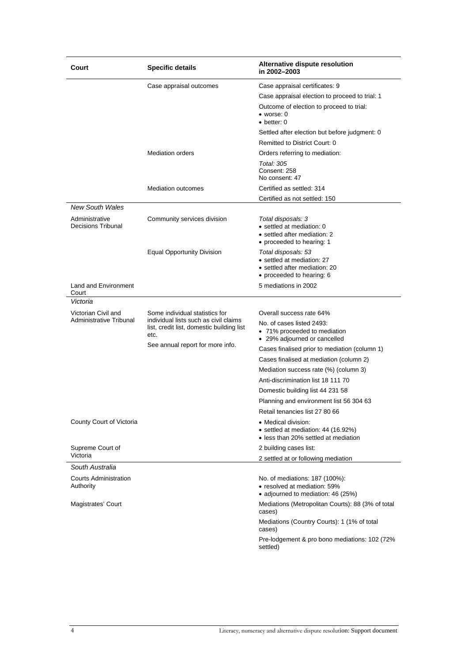| Court                                       | <b>Specific details</b>                                                                    | Alternative dispute resolution<br>in 2002-2003                                                                  |
|---------------------------------------------|--------------------------------------------------------------------------------------------|-----------------------------------------------------------------------------------------------------------------|
|                                             | Case appraisal outcomes                                                                    | Case appraisal certificates: 9                                                                                  |
|                                             |                                                                                            | Case appraisal election to proceed to trial: 1                                                                  |
|                                             |                                                                                            | Outcome of election to proceed to trial:<br>$\bullet$ worse: 0<br>$\bullet$ better: 0                           |
|                                             |                                                                                            | Settled after election but before judgment: 0                                                                   |
|                                             |                                                                                            | Remitted to District Court: 0                                                                                   |
|                                             | <b>Mediation orders</b>                                                                    | Orders referring to mediation:                                                                                  |
|                                             |                                                                                            | Total: 305<br>Consent: 258<br>No consent: 47                                                                    |
|                                             | <b>Mediation outcomes</b>                                                                  | Certified as settled: 314                                                                                       |
|                                             |                                                                                            | Certified as not settled: 150                                                                                   |
| <b>New South Wales</b>                      |                                                                                            |                                                                                                                 |
| Administrative<br><b>Decisions Tribunal</b> | Community services division                                                                | Total disposals: 3<br>• settled at mediation: 0<br>• settled after mediation: 2<br>• proceeded to hearing: 1    |
|                                             | <b>Equal Opportunity Division</b>                                                          | Total disposals: 53<br>• settled at mediation: 27<br>• settled after mediation: 20<br>• proceeded to hearing: 6 |
| Land and Environment<br>Court               |                                                                                            | 5 mediations in 2002                                                                                            |
| Victoria                                    |                                                                                            |                                                                                                                 |
| Victorian Civil and                         | Some individual statistics for                                                             | Overall success rate 64%                                                                                        |
| Administrative Tribunal                     | individual lists such as civil claims<br>list, credit list, domestic building list<br>etc. | No. of cases listed 2493:<br>• 71% proceeded to mediation<br>• 29% adjourned or cancelled                       |
|                                             | See annual report for more info.                                                           | Cases finalised prior to mediation (column 1)                                                                   |
|                                             |                                                                                            | Cases finalised at mediation (column 2)                                                                         |
|                                             |                                                                                            | Mediation success rate (%) (column 3)                                                                           |
|                                             |                                                                                            | Anti-discrimination list 18 111 70                                                                              |
|                                             |                                                                                            | Domestic building list 44 231 58                                                                                |
|                                             |                                                                                            | Planning and environment list 56 304 63                                                                         |
|                                             |                                                                                            | Retail tenancies list 27 80 66                                                                                  |
| County Court of Victoria                    |                                                                                            | • Medical division:<br>• settled at mediation: 44 (16.92%)<br>• less than 20% settled at mediation              |
| Supreme Court of<br>Victoria                |                                                                                            | 2 building cases list:                                                                                          |
| South Australia                             |                                                                                            | 2 settled at or following mediation                                                                             |
| <b>Courts Administration</b><br>Authority   |                                                                                            | No. of mediations: 187 (100%):<br>• resolved at mediation: 59%<br>• adjourned to mediation: 46 (25%)            |
| Magistrates' Court                          |                                                                                            | Mediations (Metropolitan Courts): 88 (3% of total<br>cases)                                                     |
|                                             |                                                                                            | Mediations (Country Courts): 1 (1% of total<br>cases)                                                           |
|                                             |                                                                                            | Pre-lodgement & pro bono mediations: 102 (72%)<br>settled)                                                      |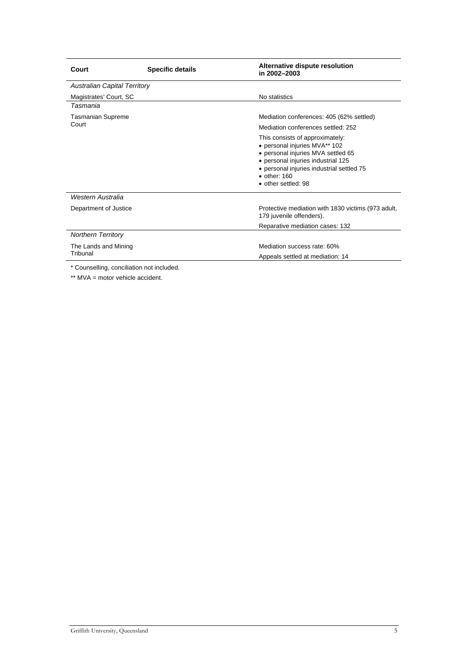| Court                                          | <b>Specific details</b> | Alternative dispute resolution<br>in 2002-2003                                                                                                                                                                                           |
|------------------------------------------------|-------------------------|------------------------------------------------------------------------------------------------------------------------------------------------------------------------------------------------------------------------------------------|
| <b>Australian Capital Territory</b>            |                         |                                                                                                                                                                                                                                          |
| Magistrates' Court, SC                         |                         | No statistics                                                                                                                                                                                                                            |
| Tasmania                                       |                         |                                                                                                                                                                                                                                          |
| <b>Tasmanian Supreme</b>                       |                         | Mediation conferences: 405 (62% settled)                                                                                                                                                                                                 |
| Court                                          |                         | Mediation conferences settled: 252                                                                                                                                                                                                       |
|                                                |                         | This consists of approximately:<br>• personal injuries MVA** 102<br>• personal injuries MVA settled 65<br>• personal injuries industrial 125<br>• personal injuries industrial settled 75<br>$\bullet$ other: 160<br>• other settled: 98 |
| Western Australia                              |                         |                                                                                                                                                                                                                                          |
| Department of Justice                          |                         | Protective mediation with 1830 victims (973 adult,<br>179 juvenile offenders).                                                                                                                                                           |
|                                                |                         | Reparative mediation cases: 132                                                                                                                                                                                                          |
| <b>Northern Territory</b>                      |                         |                                                                                                                                                                                                                                          |
| The Lands and Mining                           |                         | Mediation success rate: 60%                                                                                                                                                                                                              |
| Tribunal                                       |                         | Appeals settled at mediation: 14                                                                                                                                                                                                         |
| * Ostanbullin no benefitation mot in altraladi |                         |                                                                                                                                                                                                                                          |

\* Counselling, conciliation not included.

\*\* MVA = motor vehicle accident.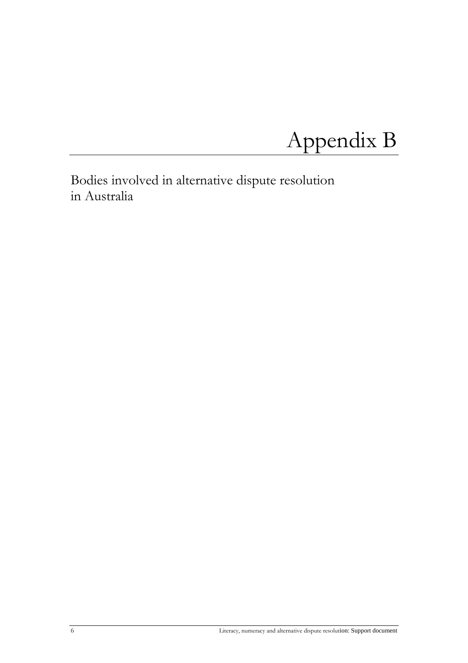# <span id="page-5-0"></span>Appendix B

<span id="page-5-1"></span>Bodies involved in alternative dispute resolution in Australia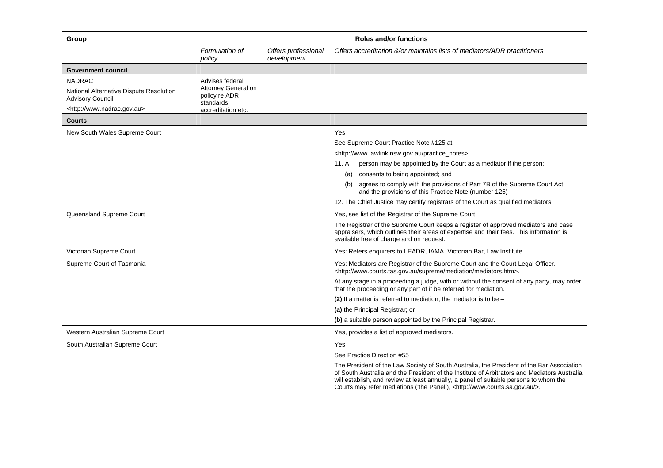| Group                                                                                                                       | <b>Roles and/or functions</b>                                                               |                                    |                                                                                                                                                                                                                                                                                                                                                                                                                                                                                                                                |  |  |
|-----------------------------------------------------------------------------------------------------------------------------|---------------------------------------------------------------------------------------------|------------------------------------|--------------------------------------------------------------------------------------------------------------------------------------------------------------------------------------------------------------------------------------------------------------------------------------------------------------------------------------------------------------------------------------------------------------------------------------------------------------------------------------------------------------------------------|--|--|
|                                                                                                                             | Formulation of<br>policy                                                                    | Offers professional<br>development | Offers accreditation &/or maintains lists of mediators/ADR practitioners                                                                                                                                                                                                                                                                                                                                                                                                                                                       |  |  |
| <b>Government council</b>                                                                                                   |                                                                                             |                                    |                                                                                                                                                                                                                                                                                                                                                                                                                                                                                                                                |  |  |
| <b>NADRAC</b><br>National Alternative Dispute Resolution<br><b>Advisory Council</b><br><http: www.nadrac.gov.au=""></http:> | Advises federal<br>Attorney General on<br>policy re ADR<br>standards,<br>accreditation etc. |                                    |                                                                                                                                                                                                                                                                                                                                                                                                                                                                                                                                |  |  |
| <b>Courts</b>                                                                                                               |                                                                                             |                                    |                                                                                                                                                                                                                                                                                                                                                                                                                                                                                                                                |  |  |
| New South Wales Supreme Court                                                                                               |                                                                                             |                                    | Yes<br>See Supreme Court Practice Note #125 at<br><http: practice_notes="" www.lawlink.nsw.gov.au="">.<br/>person may be appointed by the Court as a mediator if the person:<br/>11. A<br/>consents to being appointed; and<br/>(a)<br/>(b) agrees to comply with the provisions of Part 7B of the Supreme Court Act<br/>and the provisions of this Practice Note (number 125)<br/>12. The Chief Justice may certify registrars of the Court as qualified mediators.</http:>                                                   |  |  |
| Queensland Supreme Court                                                                                                    |                                                                                             |                                    | Yes, see list of the Registrar of the Supreme Court.<br>The Registrar of the Supreme Court keeps a register of approved mediators and case<br>appraisers, which outlines their areas of expertise and their fees. This information is<br>available free of charge and on request.                                                                                                                                                                                                                                              |  |  |
| Victorian Supreme Court                                                                                                     |                                                                                             |                                    | Yes: Refers enquirers to LEADR, IAMA, Victorian Bar, Law Institute.                                                                                                                                                                                                                                                                                                                                                                                                                                                            |  |  |
| Supreme Court of Tasmania                                                                                                   |                                                                                             |                                    | Yes: Mediators are Registrar of the Supreme Court and the Court Legal Officer.<br><http: mediation="" mediators.htm="" supreme="" www.courts.tas.gov.au="">.<br/>At any stage in a proceeding a judge, with or without the consent of any party, may order<br/>that the proceeding or any part of it be referred for mediation.<br/>(2) If a matter is referred to mediation, the mediator is to be <math>-</math><br/>(a) the Principal Registrar; or<br/>(b) a suitable person appointed by the Principal Registrar.</http:> |  |  |
| Western Australian Supreme Court                                                                                            |                                                                                             |                                    | Yes, provides a list of approved mediators.                                                                                                                                                                                                                                                                                                                                                                                                                                                                                    |  |  |
| South Australian Supreme Court                                                                                              |                                                                                             |                                    | Yes<br>See Practice Direction #55<br>The President of the Law Society of South Australia, the President of the Bar Association<br>of South Australia and the President of the Institute of Arbitrators and Mediators Australia<br>will establish, and review at least annually, a panel of suitable persons to whom the<br>Courts may refer mediations ('the Panel'), <http: www.courts.sa.gov.au=""></http:> .                                                                                                                |  |  |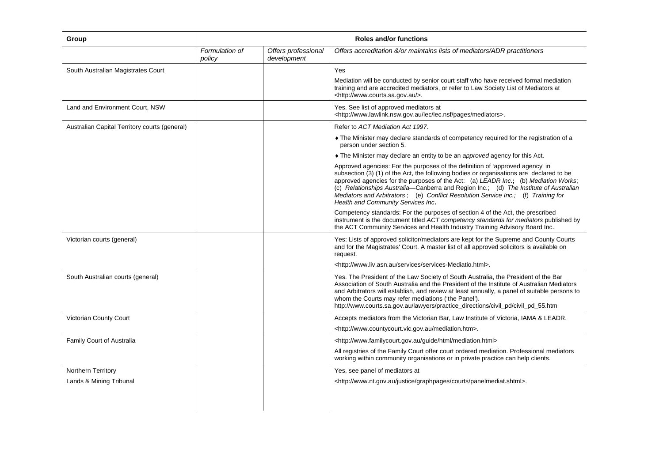| Group                                         | <b>Roles and/or functions</b> |                                    |                                                                                                                                                                                                                                                                                                                                                                                                                                                                                     |  |
|-----------------------------------------------|-------------------------------|------------------------------------|-------------------------------------------------------------------------------------------------------------------------------------------------------------------------------------------------------------------------------------------------------------------------------------------------------------------------------------------------------------------------------------------------------------------------------------------------------------------------------------|--|
|                                               | Formulation of<br>policy      | Offers professional<br>development | Offers accreditation &/or maintains lists of mediators/ADR practitioners                                                                                                                                                                                                                                                                                                                                                                                                            |  |
| South Australian Magistrates Court            |                               |                                    | Yes                                                                                                                                                                                                                                                                                                                                                                                                                                                                                 |  |
|                                               |                               |                                    | Mediation will be conducted by senior court staff who have received formal mediation<br>training and are accredited mediators, or refer to Law Society List of Mediators at<br><http: www.courts.sa.gov.au=""></http:> .                                                                                                                                                                                                                                                            |  |
| Land and Environment Court, NSW               |                               |                                    | Yes. See list of approved mediators at<br><http: lec="" lec.nsf="" mediators="" pages="" www.lawlink.nsw.gov.au="">.</http:>                                                                                                                                                                                                                                                                                                                                                        |  |
| Australian Capital Territory courts (general) |                               |                                    | Refer to ACT Mediation Act 1997.                                                                                                                                                                                                                                                                                                                                                                                                                                                    |  |
|                                               |                               |                                    | • The Minister may declare standards of competency required for the registration of a<br>person under section 5.                                                                                                                                                                                                                                                                                                                                                                    |  |
|                                               |                               |                                    | • The Minister may declare an entity to be an approved agency for this Act.                                                                                                                                                                                                                                                                                                                                                                                                         |  |
|                                               |                               |                                    | Approved agencies: For the purposes of the definition of 'approved agency' in<br>subsection (3) (1) of the Act, the following bodies or organisations are declared to be<br>approved agencies for the purposes of the Act: (a) LEADR Inc.; (b) Mediation Works;<br>(c) Relationships Australia-Canberra and Region Inc.; (d) The Institute of Australian<br>Mediators and Arbitrators; (e) Conflict Resolution Service Inc.; (f) Training for<br>Health and Community Services Inc. |  |
|                                               |                               |                                    | Competency standards: For the purposes of section 4 of the Act, the prescribed<br>instrument is the document titled ACT competency standards for mediators published by<br>the ACT Community Services and Health Industry Training Advisory Board Inc.                                                                                                                                                                                                                              |  |
| Victorian courts (general)                    |                               |                                    | Yes: Lists of approved solicitor/mediators are kept for the Supreme and County Courts<br>and for the Magistrates' Court. A master list of all approved solicitors is available on<br>request.                                                                                                                                                                                                                                                                                       |  |
|                                               |                               |                                    | <http: services="" services-mediatio.html="" www.liv.asn.au="">.</http:>                                                                                                                                                                                                                                                                                                                                                                                                            |  |
| South Australian courts (general)             |                               |                                    | Yes. The President of the Law Society of South Australia, the President of the Bar<br>Association of South Australia and the President of the Institute of Australian Mediators<br>and Arbitrators will establish, and review at least annually, a panel of suitable persons to<br>whom the Courts may refer mediations ('the Panel').<br>http://www.courts.sa.gov.au/lawyers/practice_directions/civil_pd/civil_pd_55.htm                                                          |  |
| Victorian County Court                        |                               |                                    | Accepts mediators from the Victorian Bar, Law Institute of Victoria, IAMA & LEADR.                                                                                                                                                                                                                                                                                                                                                                                                  |  |
|                                               |                               |                                    | <http: mediation.htm="" www.countycourt.vic.gov.au="">.</http:>                                                                                                                                                                                                                                                                                                                                                                                                                     |  |
| Family Court of Australia                     |                               |                                    | <http: guide="" html="" mediation.html="" www.familycourt.gov.au=""></http:>                                                                                                                                                                                                                                                                                                                                                                                                        |  |
|                                               |                               |                                    | All registries of the Family Court offer court ordered mediation. Professional mediators<br>working within community organisations or in private practice can help clients.                                                                                                                                                                                                                                                                                                         |  |
| Northern Territory                            |                               |                                    | Yes, see panel of mediators at                                                                                                                                                                                                                                                                                                                                                                                                                                                      |  |
| Lands & Mining Tribunal                       |                               |                                    | <http: courts="" graphpages="" justice="" panelmediat.shtml="" www.nt.gov.au="">.</http:>                                                                                                                                                                                                                                                                                                                                                                                           |  |
|                                               |                               |                                    |                                                                                                                                                                                                                                                                                                                                                                                                                                                                                     |  |
|                                               |                               |                                    |                                                                                                                                                                                                                                                                                                                                                                                                                                                                                     |  |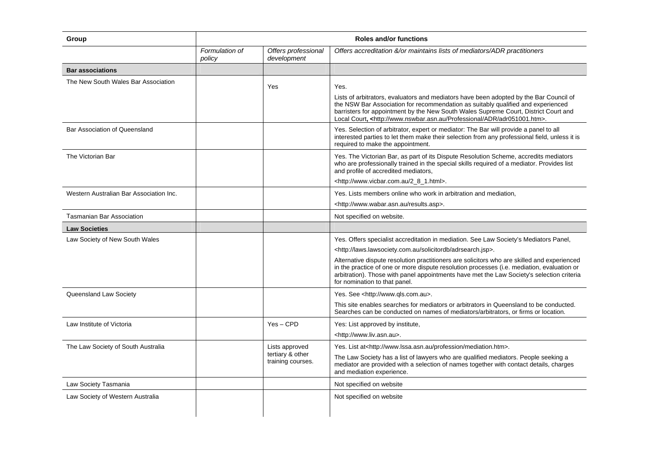| Group                                   | <b>Roles and/or functions</b> |                                                         |                                                                                                                                                                                                                                                                                                                                                                         |  |
|-----------------------------------------|-------------------------------|---------------------------------------------------------|-------------------------------------------------------------------------------------------------------------------------------------------------------------------------------------------------------------------------------------------------------------------------------------------------------------------------------------------------------------------------|--|
|                                         | Formulation of<br>policy      | Offers professional<br>development                      | Offers accreditation &/or maintains lists of mediators/ADR practitioners                                                                                                                                                                                                                                                                                                |  |
| <b>Bar associations</b>                 |                               |                                                         |                                                                                                                                                                                                                                                                                                                                                                         |  |
| The New South Wales Bar Association     |                               | Yes                                                     | Yes.<br>Lists of arbitrators, evaluators and mediators have been adopted by the Bar Council of<br>the NSW Bar Association for recommendation as suitably qualified and experienced<br>barristers for appointment by the New South Wales Supreme Court, District Court and<br>Local Court, <http: adr="" adr051001.htm="" professional="" www.nswbar.asn.au="">.</http:> |  |
| Bar Association of Queensland           |                               |                                                         | Yes. Selection of arbitrator, expert or mediator: The Bar will provide a panel to all<br>interested parties to let them make their selection from any professional field, unless it is<br>required to make the appointment.                                                                                                                                             |  |
| The Victorian Bar                       |                               |                                                         | Yes. The Victorian Bar, as part of its Dispute Resolution Scheme, accredits mediators<br>who are professionally trained in the special skills required of a mediator. Provides list<br>and profile of accredited mediators,<br><http: 2_8_1.html="" www.vicbar.com.au="">.</http:>                                                                                      |  |
| Western Australian Bar Association Inc. |                               |                                                         | Yes. Lists members online who work in arbitration and mediation,                                                                                                                                                                                                                                                                                                        |  |
|                                         |                               |                                                         | <http: results.asp="" www.wabar.asn.au="">.</http:>                                                                                                                                                                                                                                                                                                                     |  |
| <b>Tasmanian Bar Association</b>        |                               |                                                         | Not specified on website.                                                                                                                                                                                                                                                                                                                                               |  |
| <b>Law Societies</b>                    |                               |                                                         |                                                                                                                                                                                                                                                                                                                                                                         |  |
| Law Society of New South Wales          |                               |                                                         | Yes. Offers specialist accreditation in mediation. See Law Society's Mediators Panel,                                                                                                                                                                                                                                                                                   |  |
|                                         |                               |                                                         | <http: adrsearch.jsp="" laws.lawsociety.com.au="" solicitordb="">.</http:>                                                                                                                                                                                                                                                                                              |  |
|                                         |                               |                                                         | Alternative dispute resolution practitioners are solicitors who are skilled and experienced<br>in the practice of one or more dispute resolution processes (i.e. mediation, evaluation or<br>arbitration). Those with panel appointments have met the Law Society's selection criteria<br>for nomination to that panel.                                                 |  |
| Queensland Law Society                  |                               |                                                         | Yes. See <http: www.qls.com.au="">.</http:>                                                                                                                                                                                                                                                                                                                             |  |
|                                         |                               |                                                         | This site enables searches for mediators or arbitrators in Queensland to be conducted.<br>Searches can be conducted on names of mediators/arbitrators, or firms or location.                                                                                                                                                                                            |  |
| Law Institute of Victoria               |                               | $Yes - CPD$                                             | Yes: List approved by institute,<br><http: www.liv.asn.au="">.</http:>                                                                                                                                                                                                                                                                                                  |  |
| The Law Society of South Australia      |                               | Lists approved<br>tertiary & other<br>training courses. | Yes. List at <http: mediation.htm="" profession="" www.lssa.asn.au="">.<br/>The Law Society has a list of lawyers who are qualified mediators. People seeking a<br/>mediator are provided with a selection of names together with contact details, charges<br/>and mediation experience.</http:>                                                                        |  |
| Law Society Tasmania                    |                               |                                                         | Not specified on website                                                                                                                                                                                                                                                                                                                                                |  |
| Law Society of Western Australia        |                               |                                                         | Not specified on website                                                                                                                                                                                                                                                                                                                                                |  |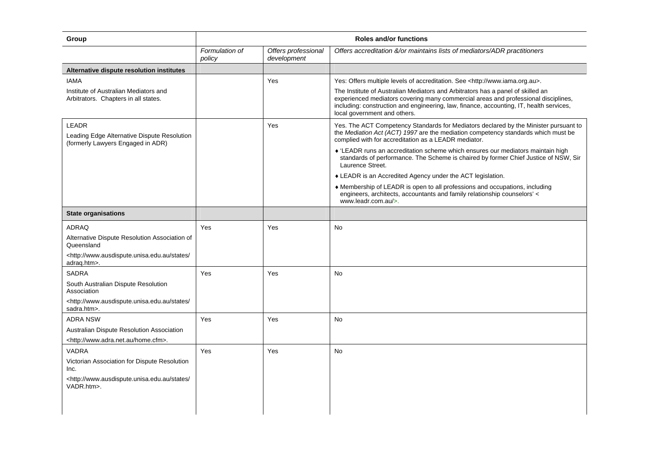| Group                                                                                            | <b>Roles and/or functions</b><br>Offers professional<br>Offers accreditation &/or maintains lists of mediators/ADR practitioners<br>Formulation of |             |                                                                                                                                                                                                                                                                                                  |  |  |
|--------------------------------------------------------------------------------------------------|----------------------------------------------------------------------------------------------------------------------------------------------------|-------------|--------------------------------------------------------------------------------------------------------------------------------------------------------------------------------------------------------------------------------------------------------------------------------------------------|--|--|
|                                                                                                  | policy                                                                                                                                             | development |                                                                                                                                                                                                                                                                                                  |  |  |
| Alternative dispute resolution institutes                                                        |                                                                                                                                                    |             |                                                                                                                                                                                                                                                                                                  |  |  |
| <b>IAMA</b>                                                                                      |                                                                                                                                                    | Yes         | Yes: Offers multiple levels of accreditation. See <http: www.iama.org.au="">.</http:>                                                                                                                                                                                                            |  |  |
| Institute of Australian Mediators and<br>Arbitrators. Chapters in all states.                    |                                                                                                                                                    |             | The Institute of Australian Mediators and Arbitrators has a panel of skilled an<br>experienced mediators covering many commercial areas and professional disciplines,<br>including: construction and engineering, law, finance, accounting, IT, health services,<br>local government and others. |  |  |
| <b>LEADR</b><br>Leading Edge Alternative Dispute Resolution<br>(formerly Lawyers Engaged in ADR) |                                                                                                                                                    | Yes         | Yes. The ACT Competency Standards for Mediators declared by the Minister pursuant to<br>the Mediation Act (ACT) 1997 are the mediation competency standards which must be<br>complied with for accreditation as a LEADR mediator.                                                                |  |  |
|                                                                                                  |                                                                                                                                                    |             | ♦ 'LEADR runs an accreditation scheme which ensures our mediators maintain high<br>standards of performance. The Scheme is chaired by former Chief Justice of NSW, Sir<br>Laurence Street.                                                                                                       |  |  |
|                                                                                                  |                                                                                                                                                    |             | • LEADR is an Accredited Agency under the ACT legislation.                                                                                                                                                                                                                                       |  |  |
|                                                                                                  |                                                                                                                                                    |             | ♦ Membership of LEADR is open to all professions and occupations, including<br>engineers, architects, accountants and family relationship counselors' <<br>www.leadr.com.au/>.                                                                                                                   |  |  |
| <b>State organisations</b>                                                                       |                                                                                                                                                    |             |                                                                                                                                                                                                                                                                                                  |  |  |
| <b>ADRAQ</b>                                                                                     | Yes                                                                                                                                                | Yes         | No                                                                                                                                                                                                                                                                                               |  |  |
| Alternative Dispute Resolution Association of<br>Queensland                                      |                                                                                                                                                    |             |                                                                                                                                                                                                                                                                                                  |  |  |
| <http: <br="" states="" www.ausdispute.unisa.edu.au="">adrag.htm&gt;.</http:>                    |                                                                                                                                                    |             |                                                                                                                                                                                                                                                                                                  |  |  |
| <b>SADRA</b>                                                                                     | Yes                                                                                                                                                | Yes         | <b>No</b>                                                                                                                                                                                                                                                                                        |  |  |
| South Australian Dispute Resolution<br>Association                                               |                                                                                                                                                    |             |                                                                                                                                                                                                                                                                                                  |  |  |
| <http: <br="" states="" www.ausdispute.unisa.edu.au="">sadra.htm&gt;.</http:>                    |                                                                                                                                                    |             |                                                                                                                                                                                                                                                                                                  |  |  |
| <b>ADRA NSW</b>                                                                                  | Yes                                                                                                                                                | Yes         | No                                                                                                                                                                                                                                                                                               |  |  |
| Australian Dispute Resolution Association                                                        |                                                                                                                                                    |             |                                                                                                                                                                                                                                                                                                  |  |  |
| <http: home.cfm="" www.adra.net.au="">.</http:>                                                  |                                                                                                                                                    |             |                                                                                                                                                                                                                                                                                                  |  |  |
| VADRA                                                                                            | Yes                                                                                                                                                | Yes         | No                                                                                                                                                                                                                                                                                               |  |  |
| Victorian Association for Dispute Resolution<br>Inc.                                             |                                                                                                                                                    |             |                                                                                                                                                                                                                                                                                                  |  |  |
| <http: <br="" states="" www.ausdispute.unisa.edu.au="">VADR.htm&gt;.</http:>                     |                                                                                                                                                    |             |                                                                                                                                                                                                                                                                                                  |  |  |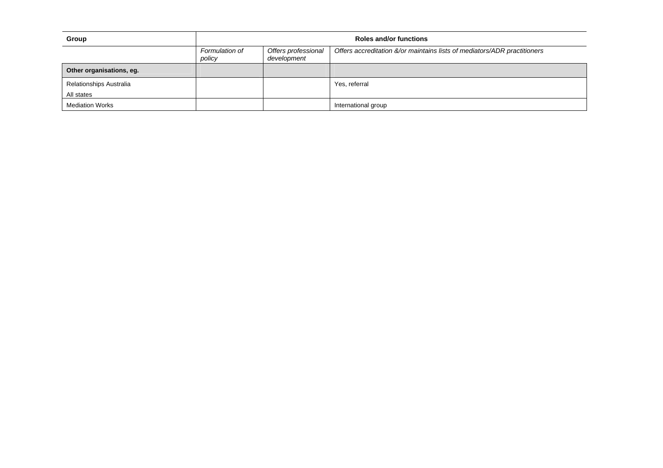| Group                          | <b>Roles and/or functions</b> |                                    |                                                                          |  |  |
|--------------------------------|-------------------------------|------------------------------------|--------------------------------------------------------------------------|--|--|
|                                | Formulation of<br>policy      | Offers professional<br>development | Offers accreditation &/or maintains lists of mediators/ADR practitioners |  |  |
| Other organisations, eg.       |                               |                                    |                                                                          |  |  |
| <b>Relationships Australia</b> |                               |                                    | Yes, referral                                                            |  |  |
| All states                     |                               |                                    |                                                                          |  |  |
| <b>Mediation Works</b>         |                               |                                    | International group                                                      |  |  |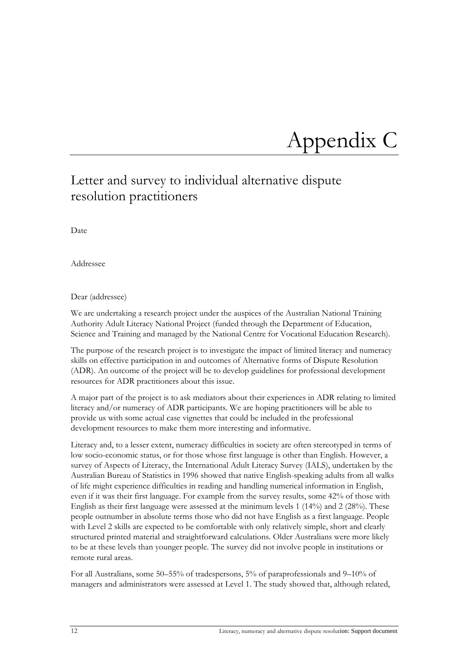## <span id="page-11-0"></span>Appendix C

### <span id="page-11-1"></span>Letter and survey to individual alternative dispute resolution practitioners

Date

Addressee

#### Dear (addressee)

We are undertaking a research project under the auspices of the Australian National Training Authority Adult Literacy National Project (funded through the Department of Education, Science and Training and managed by the National Centre for Vocational Education Research).

The purpose of the research project is to investigate the impact of limited literacy and numeracy skills on effective participation in and outcomes of Alternative forms of Dispute Resolution (ADR). An outcome of the project will be to develop guidelines for professional development resources for ADR practitioners about this issue.

A major part of the project is to ask mediators about their experiences in ADR relating to limited literacy and/or numeracy of ADR participants. We are hoping practitioners will be able to provide us with some actual case vignettes that could be included in the professional development resources to make them more interesting and informative.

Literacy and, to a lesser extent, numeracy difficulties in society are often stereotyped in terms of low socio-economic status, or for those whose first language is other than English. However, a survey of Aspects of Literacy, the International Adult Literacy Survey (IALS), undertaken by the Australian Bureau of Statistics in 1996 showed that native English-speaking adults from all walks of life might experience difficulties in reading and handling numerical information in English, even if it was their first language. For example from the survey results, some 42% of those with English as their first language were assessed at the minimum levels 1 (14%) and 2 (28%). These people outnumber in absolute terms those who did not have English as a first language. People with Level 2 skills are expected to be comfortable with only relatively simple, short and clearly structured printed material and straightforward calculations. Older Australians were more likely to be at these levels than younger people. The survey did not involve people in institutions or remote rural areas.

For all Australians, some 50–55% of tradespersons, 5% of paraprofessionals and 9–10% of managers and administrators were assessed at Level 1. The study showed that, although related,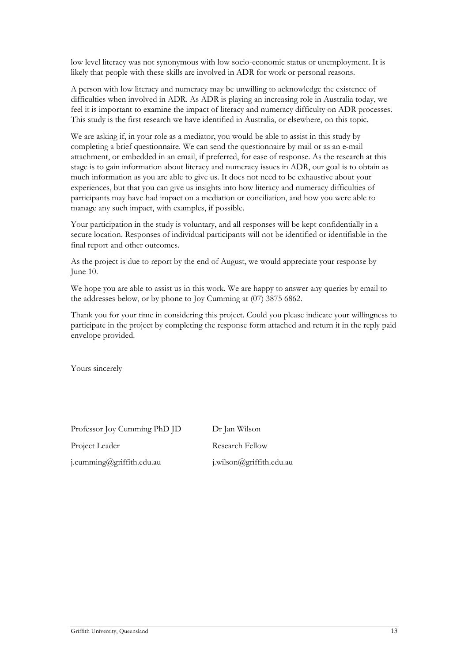low level literacy was not synonymous with low socio-economic status or unemployment. It is likely that people with these skills are involved in ADR for work or personal reasons.

A person with low literacy and numeracy may be unwilling to acknowledge the existence of difficulties when involved in ADR. As ADR is playing an increasing role in Australia today, we feel it is important to examine the impact of literacy and numeracy difficulty on ADR processes. This study is the first research we have identified in Australia, or elsewhere, on this topic.

We are asking if, in your role as a mediator, you would be able to assist in this study by completing a brief questionnaire. We can send the questionnaire by mail or as an e-mail attachment, or embedded in an email, if preferred, for ease of response. As the research at this stage is to gain information about literacy and numeracy issues in ADR, our goal is to obtain as much information as you are able to give us. It does not need to be exhaustive about your experiences, but that you can give us insights into how literacy and numeracy difficulties of participants may have had impact on a mediation or conciliation, and how you were able to manage any such impact, with examples, if possible.

Your participation in the study is voluntary, and all responses will be kept confidentially in a secure location. Responses of individual participants will not be identified or identifiable in the final report and other outcomes.

As the project is due to report by the end of August, we would appreciate your response by June 10.

We hope you are able to assist us in this work. We are happy to answer any queries by email to the addresses below, or by phone to Joy Cumming at (07) 3875 6862.

Thank you for your time in considering this project. Could you please indicate your willingness to participate in the project by completing the response form attached and return it in the reply paid envelope provided.

Yours sincerely

Professor Joy Cumming PhD JD Dr Jan Wilson

[j.cumming@griffith.edu.au](mailto:j.cumming@griffith.edu.au) [j.wilson@griffith.edu.au](mailto:j.wilson@griffith.edu.au) 

Project Leader Research Fellow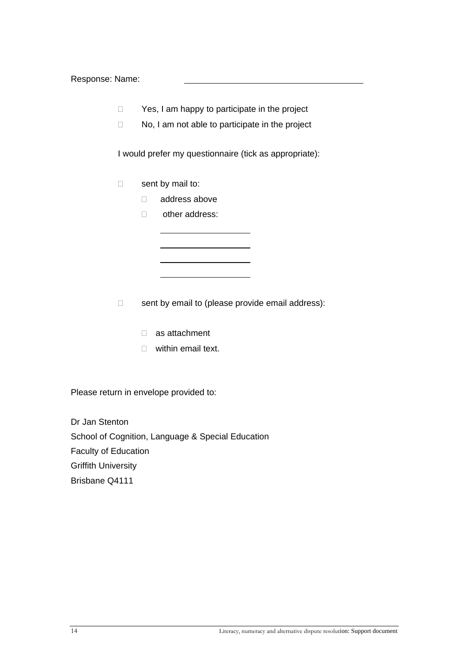Response: Name:

- $\Box$  Yes, I am happy to participate in the project
- $\Box$  No, I am not able to participate in the project

I would prefer my questionnaire (tick as appropriate):

- $\Box$  sent by mail to:
	- address above
	- □ other address:

- $\Box$  sent by email to (please provide email address):
	- as attachment
	- $\Box$  within email text.

Please return in envelope provided to:

Dr Jan Stenton School of Cognition, Language & Special Education Faculty of Education Griffith University Brisbane Q4111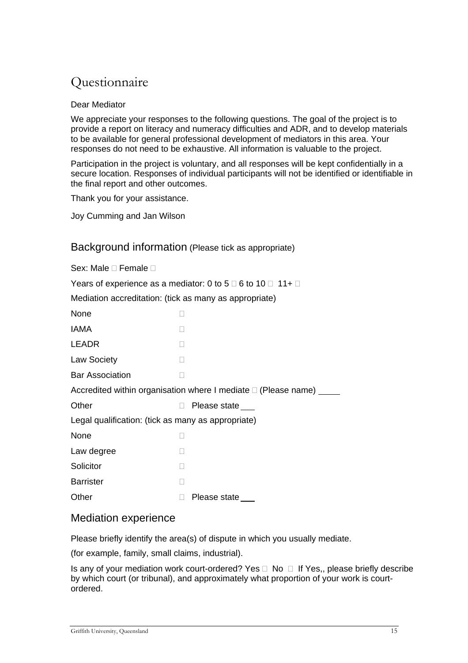### Questionnaire

#### Dear Mediator

We appreciate your responses to the following questions. The goal of the project is to provide a report on literacy and numeracy difficulties and ADR, and to develop materials to be available for general professional development of mediators in this area. Your responses do not need to be exhaustive. All information is valuable to the project.

Participation in the project is voluntary, and all responses will be kept confidentially in a secure location. Responses of individual participants will not be identified or identifiable in the final report and other outcomes.

Thank you for your assistance.

Joy Cumming and Jan Wilson

#### Background information (Please tick as appropriate)

| Sex: Male □ Female □                                   |                                                                            |
|--------------------------------------------------------|----------------------------------------------------------------------------|
|                                                        | Years of experience as a mediator: 0 to 5 $\Box$ 6 to 10 $\Box$ 11+ $\Box$ |
| Mediation accreditation: (tick as many as appropriate) |                                                                            |
| None                                                   |                                                                            |
| IAMA                                                   |                                                                            |
| <b>LEADR</b>                                           |                                                                            |
| <b>Law Society</b>                                     |                                                                            |
| <b>Bar Association</b>                                 |                                                                            |
|                                                        | Accredited within organisation where I mediate □ (Please name) ___         |
| Other                                                  | Please state                                                               |
| Legal qualification: (tick as many as appropriate)     |                                                                            |
| None                                                   |                                                                            |
| Law degree                                             |                                                                            |
| Solicitor                                              |                                                                            |
| <b>Barrister</b>                                       |                                                                            |
| Other                                                  | Please state                                                               |

#### Mediation experience

Please briefly identify the area(s) of dispute in which you usually mediate.

(for example, family, small claims, industrial).

Is any of your mediation work court-ordered? Yes  $\Box$  No  $\Box$  If Yes,, please briefly describe by which court (or tribunal), and approximately what proportion of your work is courtordered.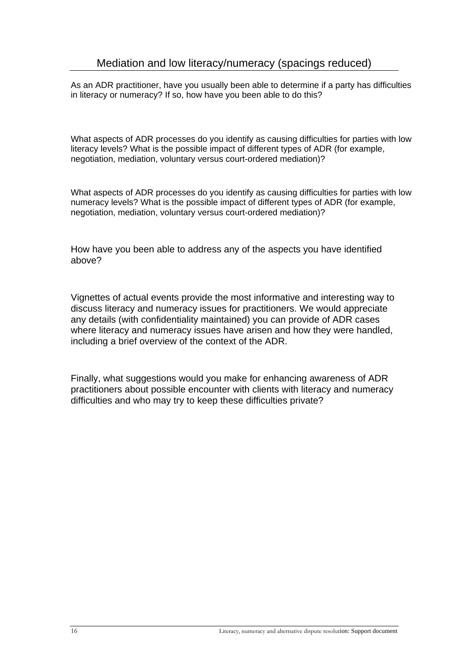As an ADR practitioner, have you usually been able to determine if a party has difficulties in literacy or numeracy? If so, how have you been able to do this?

What aspects of ADR processes do you identify as causing difficulties for parties with low literacy levels? What is the possible impact of different types of ADR (for example, negotiation, mediation, voluntary versus court-ordered mediation)?

What aspects of ADR processes do you identify as causing difficulties for parties with low numeracy levels? What is the possible impact of different types of ADR (for example, negotiation, mediation, voluntary versus court-ordered mediation)?

How have you been able to address any of the aspects you have identified above?

Vignettes of actual events provide the most informative and interesting way to discuss literacy and numeracy issues for practitioners. We would appreciate any details (with confidentiality maintained) you can provide of ADR cases where literacy and numeracy issues have arisen and how they were handled, including a brief overview of the context of the ADR.

Finally, what suggestions would you make for enhancing awareness of ADR practitioners about possible encounter with clients with literacy and numeracy difficulties and who may try to keep these difficulties private?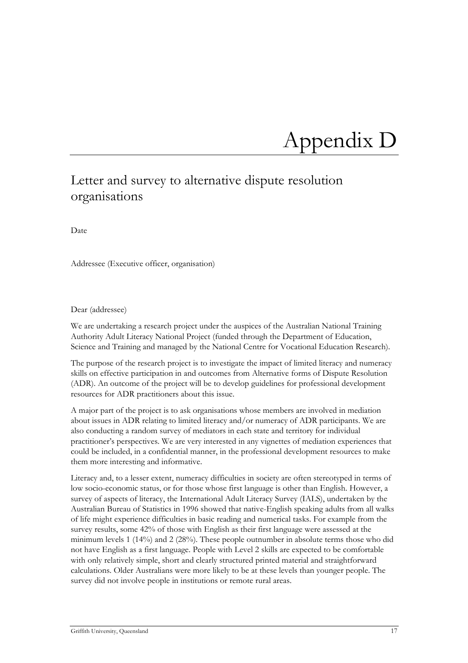## <span id="page-16-0"></span>Appendix D

### <span id="page-16-1"></span>Letter and survey to alternative dispute resolution organisations

Date

Addressee (Executive officer, organisation)

#### Dear (addressee)

We are undertaking a research project under the auspices of the Australian National Training Authority Adult Literacy National Project (funded through the Department of Education, Science and Training and managed by the National Centre for Vocational Education Research).

The purpose of the research project is to investigate the impact of limited literacy and numeracy skills on effective participation in and outcomes from Alternative forms of Dispute Resolution (ADR). An outcome of the project will be to develop guidelines for professional development resources for ADR practitioners about this issue.

A major part of the project is to ask organisations whose members are involved in mediation about issues in ADR relating to limited literacy and/or numeracy of ADR participants. We are also conducting a random survey of mediators in each state and territory for individual practitioner's perspectives. We are very interested in any vignettes of mediation experiences that could be included, in a confidential manner, in the professional development resources to make them more interesting and informative.

Literacy and, to a lesser extent, numeracy difficulties in society are often stereotyped in terms of low socio-economic status, or for those whose first language is other than English. However, a survey of aspects of literacy, the International Adult Literacy Survey (IALS), undertaken by the Australian Bureau of Statistics in 1996 showed that native-English speaking adults from all walks of life might experience difficulties in basic reading and numerical tasks. For example from the survey results, some 42% of those with English as their first language were assessed at the minimum levels 1 (14%) and 2 (28%). These people outnumber in absolute terms those who did not have English as a first language. People with Level 2 skills are expected to be comfortable with only relatively simple, short and clearly structured printed material and straightforward calculations. Older Australians were more likely to be at these levels than younger people. The survey did not involve people in institutions or remote rural areas.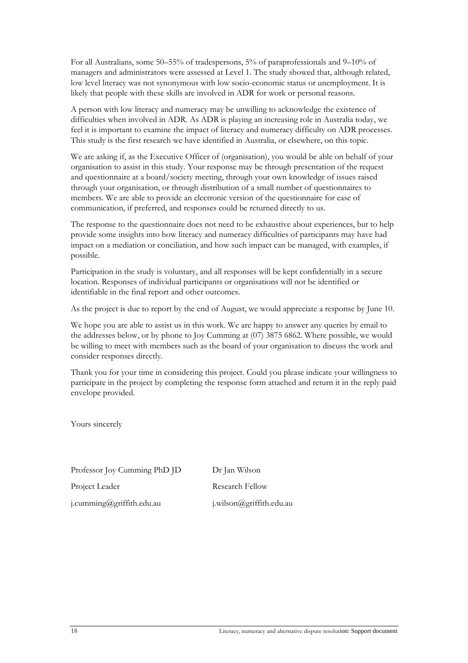For all Australians, some 50–55% of tradespersons, 5% of paraprofessionals and 9–10% of managers and administrators were assessed at Level 1. The study showed that, although related, low level literacy was not synonymous with low socio-economic status or unemployment. It is likely that people with these skills are involved in ADR for work or personal reasons.

A person with low literacy and numeracy may be unwilling to acknowledge the existence of difficulties when involved in ADR. As ADR is playing an increasing role in Australia today, we feel it is important to examine the impact of literacy and numeracy difficulty on ADR processes. This study is the first research we have identified in Australia, or elsewhere, on this topic.

We are asking if, as the Executive Officer of (organisation), you would be able on behalf of your organisation to assist in this study. Your response may be through presentation of the request and questionnaire at a board/society meeting, through your own knowledge of issues raised through your organisation, or through distribution of a small number of questionnaires to members. We are able to provide an electronic version of the questionnaire for ease of communication, if preferred, and responses could be returned directly to us.

The response to the questionnaire does not need to be exhaustive about experiences, but to help provide some insights into how literacy and numeracy difficulties of participants may have had impact on a mediation or conciliation, and how such impact can be managed, with examples, if possible.

Participation in the study is voluntary, and all responses will be kept confidentially in a secure location. Responses of individual participants or organisations will not be identified or identifiable in the final report and other outcomes.

As the project is due to report by the end of August, we would appreciate a response by June 10.

We hope you are able to assist us in this work. We are happy to answer any queries by email to the addresses below, or by phone to Joy Cumming at (07) 3875 6862. Where possible, we would be willing to meet with members such as the board of your organisation to discuss the work and consider responses directly.

Thank you for your time in considering this project. Could you please indicate your willingness to participate in the project by completing the response form attached and return it in the reply paid envelope provided.

Yours sincerely

| Professor Joy Cumming PhD JD | Dr Jan Wilson            |
|------------------------------|--------------------------|
| Project Leader               | <b>Research Fellow</b>   |
| j.cumming@griffith.edu.au    | j.wilson@griffith.edu.au |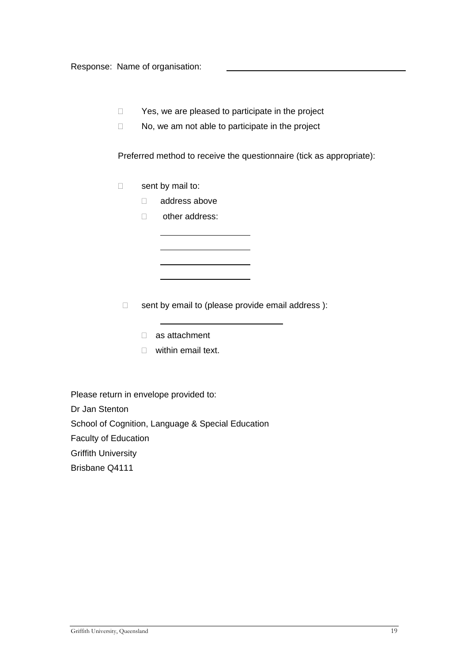Response: Name of organisation:

- $\Box$  Yes, we are pleased to participate in the project
- $\Box$  No, we am not able to participate in the project

Preferred method to receive the questionnaire (tick as appropriate):

- $\Box$  sent by mail to:
	- address above
	- □ other address:

- $\Box$  sent by email to (please provide email address):
	- as attachment
	- □ within email text.

Please return in envelope provided to: Dr Jan Stenton School of Cognition, Language & Special Education Faculty of Education Griffith University Brisbane Q4111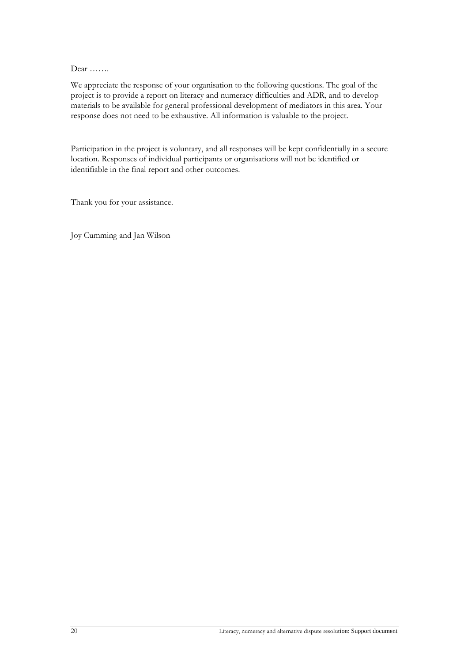Dear …….

We appreciate the response of your organisation to the following questions. The goal of the project is to provide a report on literacy and numeracy difficulties and ADR, and to develop materials to be available for general professional development of mediators in this area. Your response does not need to be exhaustive. All information is valuable to the project.

Participation in the project is voluntary, and all responses will be kept confidentially in a secure location. Responses of individual participants or organisations will not be identified or identifiable in the final report and other outcomes.

Thank you for your assistance.

Joy Cumming and Jan Wilson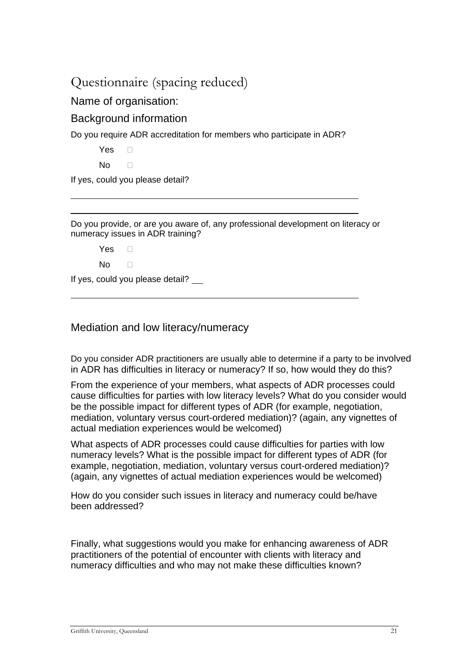### Questionnaire (spacing reduced)

### Name of organisation:

### Background information

Do you require ADR accreditation for members who participate in ADR?

Yes D

 $\overline{a}$  $\overline{a}$ 

 $\overline{a}$ 

 $No \qquad \Box$ 

If yes, could you please detail?

Do you provide, or are you aware of, any professional development on literacy or numeracy issues in ADR training?

Yes  $\Box$ 

 $No \qquad \Box$ 

If yes, could you please detail?

### Mediation and low literacy/numeracy

Do you consider ADR practitioners are usually able to determine if a party to be involved in ADR has difficulties in literacy or numeracy? If so, how would they do this?

From the experience of your members, what aspects of ADR processes could cause difficulties for parties with low literacy levels? What do you consider would be the possible impact for different types of ADR (for example, negotiation, mediation, voluntary versus court-ordered mediation)? (again, any vignettes of actual mediation experiences would be welcomed)

What aspects of ADR processes could cause difficulties for parties with low numeracy levels? What is the possible impact for different types of ADR (for example, negotiation, mediation, voluntary versus court-ordered mediation)? (again, any vignettes of actual mediation experiences would be welcomed)

How do you consider such issues in literacy and numeracy could be/have been addressed?

Finally, what suggestions would you make for enhancing awareness of ADR practitioners of the potential of encounter with clients with literacy and numeracy difficulties and who may not make these difficulties known?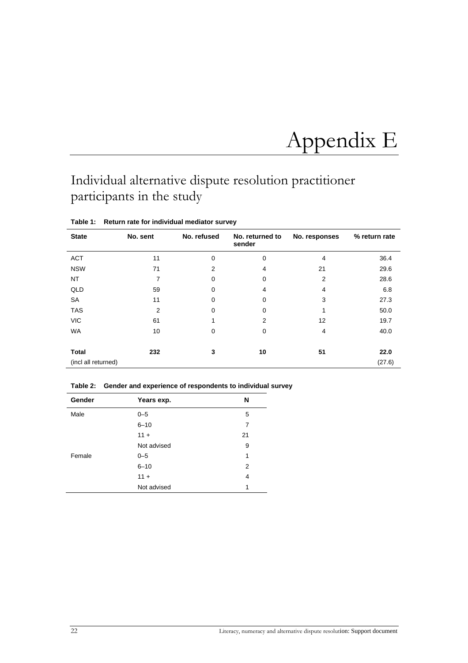## <span id="page-21-0"></span>Appendix E

## <span id="page-21-1"></span>Individual alternative dispute resolution practitioner participants in the study

| <b>State</b>        | No. sent       | No. refused | No. returned to<br>sender | No. responses | % return rate |
|---------------------|----------------|-------------|---------------------------|---------------|---------------|
| <b>ACT</b>          | 11             | 0           | 0                         | 4             | 36.4          |
| <b>NSW</b>          | 71             | 2           | 4                         | 21            | 29.6          |
| NT                  | 7              | $\Omega$    | 0                         | 2             | 28.6          |
| QLD                 | 59             | $\Omega$    | 4                         | 4             | 6.8           |
| <b>SA</b>           | 11             | 0           | 0                         | 3             | 27.3          |
| <b>TAS</b>          | $\overline{2}$ | 0           | 0                         | 4             | 50.0          |
| <b>VIC</b>          | 61             |             | 2                         | 12            | 19.7          |
| <b>WA</b>           | 10             | 0           | 0                         | 4             | 40.0          |
| <b>Total</b>        | 232            | 3           | 10                        | 51            | 22.0          |
| (incl all returned) |                |             |                           |               | (27.6)        |

**Table 1: Return rate for individual mediator survey** 

**Table 2: Gender and experience of respondents to individual survey** 

| Gender | Years exp.  | N  |
|--------|-------------|----|
| Male   | $0 - 5$     | 5  |
|        | $6 - 10$    | 7  |
|        | $11 +$      | 21 |
|        | Not advised | 9  |
| Female | $0 - 5$     | 1  |
|        | $6 - 10$    | 2  |
|        | $11 +$      | 4  |
|        | Not advised | 1  |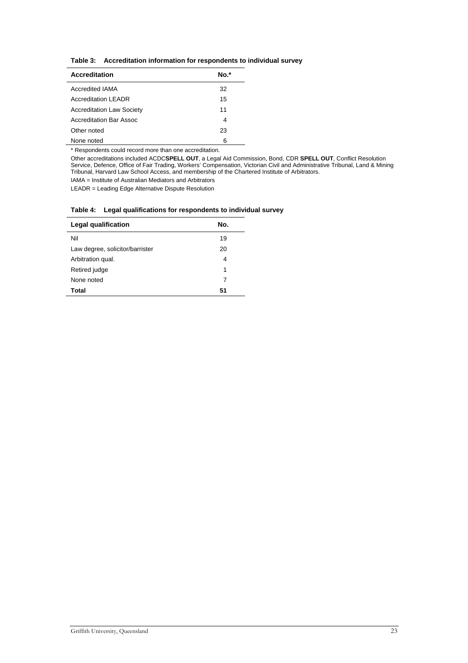| Table 3: Accreditation information for respondents to individual survey |  |  |
|-------------------------------------------------------------------------|--|--|
|                                                                         |  |  |

| <b>Accreditation</b>             | 'O.* |
|----------------------------------|------|
| <b>Accredited IAMA</b>           | 32   |
| <b>Accreditation LEADR</b>       | 15   |
| <b>Accreditation Law Society</b> | 11   |
| Accreditation Bar Assoc          | 4    |
| Other noted                      | 23   |
| None noted                       | 6    |

\* Respondents could record more than one accreditation.

Other accreditations included ACDC**SPELL OUT**, a Legal Aid Commission, Bond, CDR **SPELL OUT**, Conflict Resolution Service, Defence, Office of Fair Trading, Workers' Compensation, Victorian Civil and Administrative Tribunal, Land & Mining Tribunal, Harvard Law School Access, and membership of the Chartered Institute of Arbitrators.

IAMA = Institute of Australian Mediators and Arbitrators

LEADR = Leading Edge Alternative Dispute Resolution

#### **Table 4: Legal qualifications for respondents to individual survey**

| Legal qualification             | No. |
|---------------------------------|-----|
| Nil                             | 19  |
| Law degree, solicitor/barrister | 20  |
| Arbitration qual.               | 4   |
| Retired judge                   | 1   |
| None noted                      | 7   |
| Total                           | 51  |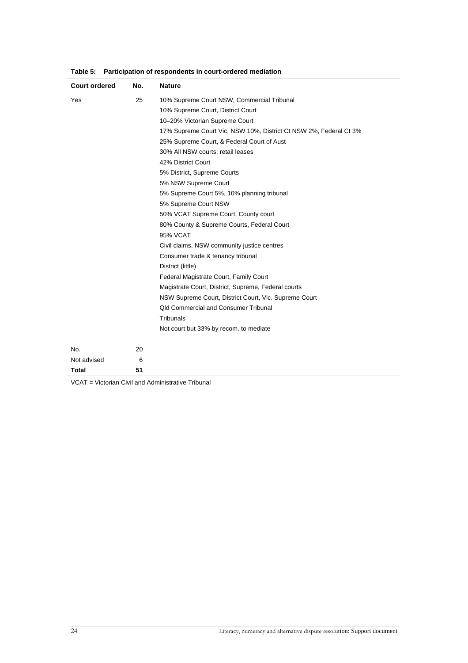| <b>Court ordered</b> | No. | <b>Nature</b>                                                     |
|----------------------|-----|-------------------------------------------------------------------|
| Yes                  | 25  | 10% Supreme Court NSW, Commercial Tribunal                        |
|                      |     | 10% Supreme Court, District Court                                 |
|                      |     | 10-20% Victorian Supreme Court                                    |
|                      |     | 17% Supreme Court Vic, NSW 10%, District Ct NSW 2%, Federal Ct 3% |
|                      |     | 25% Supreme Court, & Federal Court of Aust                        |
|                      |     | 30% All NSW courts, retail leases                                 |
|                      |     | 42% District Court                                                |
|                      |     | 5% District, Supreme Courts                                       |
|                      |     | 5% NSW Supreme Court                                              |
|                      |     | 5% Supreme Court 5%, 10% planning tribunal                        |
|                      |     | 5% Supreme Court NSW                                              |
|                      |     | 50% VCAT Supreme Court, County court                              |
|                      |     | 80% County & Supreme Courts, Federal Court                        |
|                      |     | <b>95% VCAT</b>                                                   |
|                      |     | Civil claims, NSW community justice centres                       |
|                      |     | Consumer trade & tenancy tribunal                                 |
|                      |     | District (little)                                                 |
|                      |     | Federal Magistrate Court, Family Court                            |
|                      |     | Magistrate Court, District, Supreme, Federal courts               |
|                      |     | NSW Supreme Court, District Court, Vic. Supreme Court             |
|                      |     | <b>Qld Commercial and Consumer Tribunal</b>                       |
|                      |     | Tribunals                                                         |
|                      |     | Not court but 33% by recom. to mediate                            |
| No.                  | 20  |                                                                   |
| Not advised          | 6   |                                                                   |
| Total                | 51  |                                                                   |

**Table 5: Participation of respondents in court-ordered mediation** 

VCAT = Victorian Civil and Administrative Tribunal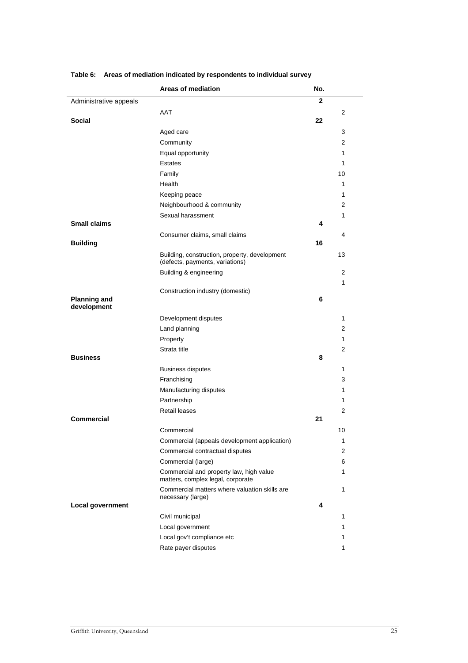|                        | <b>Areas of mediation</b>                                                        | No.          |                |
|------------------------|----------------------------------------------------------------------------------|--------------|----------------|
| Administrative appeals |                                                                                  | $\mathbf{2}$ |                |
|                        | AAT                                                                              |              | 2              |
| <b>Social</b>          |                                                                                  | 22           |                |
|                        | Aged care                                                                        |              | 3              |
|                        | Community                                                                        |              | 2              |
|                        | Equal opportunity                                                                |              | 1              |
|                        | <b>Estates</b>                                                                   |              | 1              |
|                        | Family                                                                           |              | 10             |
|                        | Health                                                                           |              | 1              |
|                        | Keeping peace                                                                    |              | 1              |
|                        | Neighbourhood & community                                                        |              | 2              |
|                        | Sexual harassment                                                                |              | 1              |
| <b>Small claims</b>    |                                                                                  | 4            |                |
|                        | Consumer claims, small claims                                                    |              | 4              |
| <b>Building</b>        |                                                                                  | 16           |                |
|                        | Building, construction, property, development<br>(defects, payments, variations) |              | 13             |
|                        | Building & engineering                                                           |              | 2              |
|                        |                                                                                  |              | 1              |
| <b>Planning and</b>    | Construction industry (domestic)                                                 | 6            |                |
| development            |                                                                                  |              |                |
|                        | Development disputes                                                             |              | 1              |
|                        | Land planning                                                                    |              | 2              |
|                        | Property                                                                         |              | 1              |
|                        | Strata title                                                                     |              | $\overline{2}$ |
| <b>Business</b>        |                                                                                  | 8            |                |
|                        | <b>Business disputes</b>                                                         |              | 1              |
|                        | Franchising                                                                      |              | 3              |
|                        | Manufacturing disputes                                                           |              | 1              |
|                        | Partnership                                                                      |              | 1              |
|                        | Retail leases                                                                    |              | 2              |
| <b>Commercial</b>      |                                                                                  | 21           |                |
|                        | Commercial                                                                       |              | 10             |
|                        | Commercial (appeals development application)                                     |              | 1              |
|                        | Commercial contractual disputes                                                  |              | 2              |
|                        | Commercial (large)                                                               |              | 6              |
|                        | Commercial and property law, high value<br>matters, complex legal, corporate     |              | 1              |
|                        | Commercial matters where valuation skills are<br>necessary (large)               |              | 1              |
| Local government       |                                                                                  | 4            |                |
|                        | Civil municipal                                                                  |              | 1              |
|                        | Local government                                                                 |              | 1              |
|                        | Local gov't compliance etc                                                       |              | 1              |
|                        | Rate payer disputes                                                              |              | 1              |

**Table 6: Areas of mediation indicated by respondents to individual survey**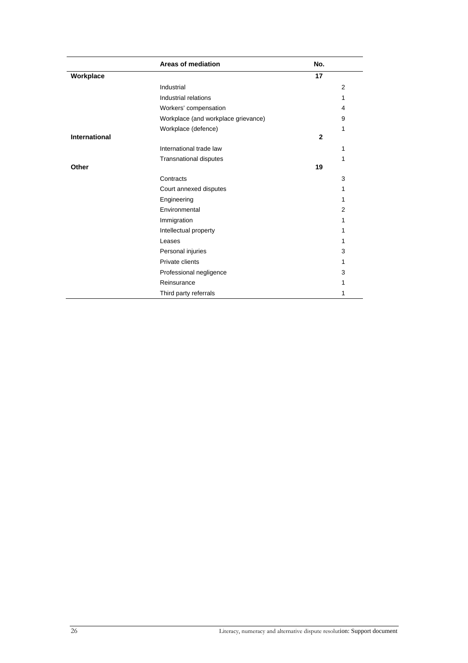|               | <b>Areas of mediation</b>           | No. |   |
|---------------|-------------------------------------|-----|---|
| Workplace     |                                     | 17  |   |
|               | Industrial                          |     | 2 |
|               | Industrial relations                |     | 1 |
|               | Workers' compensation               |     | 4 |
|               | Workplace (and workplace grievance) |     | 9 |
|               | Workplace (defence)                 |     | 1 |
| International |                                     | 2   |   |
|               | International trade law             |     | 1 |
|               | <b>Transnational disputes</b>       |     | 1 |
| Other         |                                     | 19  |   |
|               | Contracts                           |     | 3 |
|               | Court annexed disputes              |     | 1 |
|               | Engineering                         |     | 1 |
|               | Environmental                       |     | 2 |
|               | Immigration                         |     | 1 |
|               | Intellectual property               |     | 1 |
|               | Leases                              |     | 1 |
|               | Personal injuries                   |     | 3 |
|               | Private clients                     |     | 1 |
|               | Professional negligence             |     | 3 |
|               | Reinsurance                         |     | 1 |
|               | Third party referrals               |     | 1 |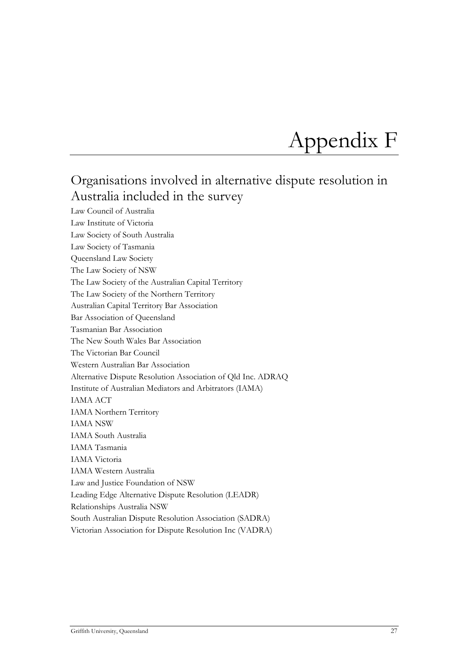## <span id="page-26-0"></span>Appendix F

## <span id="page-26-1"></span>Organisations involved in alternative dispute resolution in Australia included in the survey

Law Council of Australia Law Institute of Victoria Law Society of South Australia Law Society of Tasmania Queensland Law Society The Law Society of NSW The Law Society of the Australian Capital Territory The Law Society of the Northern Territory Australian Capital Territory Bar Association Bar Association of Queensland Tasmanian Bar Association The New South Wales Bar Association The Victorian Bar Council Western Australian Bar Association Alternative Dispute Resolution Association of Qld Inc. ADRAQ Institute of Australian Mediators and Arbitrators (IAMA) IAMA ACT IAMA Northern Territory IAMA NSW IAMA South Australia IAMA Tasmania IAMA Victoria IAMA Western Australia Law and Justice Foundation of NSW Leading Edge Alternative Dispute Resolution (LEADR) Relationships Australia NSW South Australian Dispute Resolution Association (SADRA) Victorian Association for Dispute Resolution Inc (VADRA)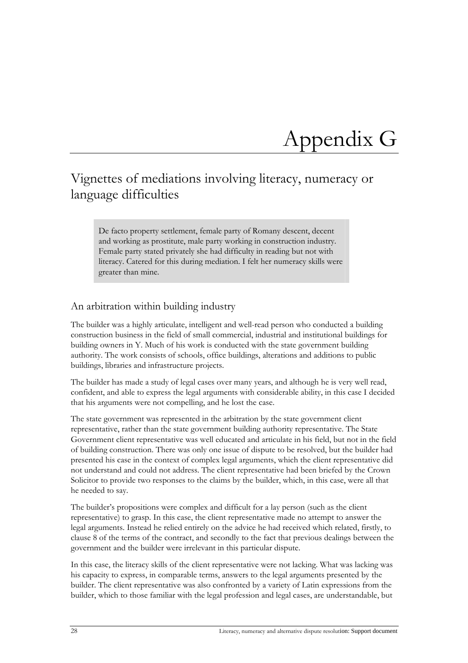## <span id="page-27-0"></span>Appendix G

### <span id="page-27-1"></span>Vignettes of mediations involving literacy, numeracy or language difficulties

De facto property settlement, female party of Romany descent, decent and working as prostitute, male party working in construction industry. Female party stated privately she had difficulty in reading but not with literacy. Catered for this during mediation. I felt her numeracy skills were greater than mine.

#### An arbitration within building industry

The builder was a highly articulate, intelligent and well-read person who conducted a building construction business in the field of small commercial, industrial and institutional buildings for building owners in Y. Much of his work is conducted with the state government building authority. The work consists of schools, office buildings, alterations and additions to public buildings, libraries and infrastructure projects.

The builder has made a study of legal cases over many years, and although he is very well read, confident, and able to express the legal arguments with considerable ability, in this case I decided that his arguments were not compelling, and he lost the case.

The state government was represented in the arbitration by the state government client representative, rather than the state government building authority representative. The State Government client representative was well educated and articulate in his field, but not in the field of building construction. There was only one issue of dispute to be resolved, but the builder had presented his case in the context of complex legal arguments, which the client representative did not understand and could not address. The client representative had been briefed by the Crown Solicitor to provide two responses to the claims by the builder, which, in this case, were all that he needed to say.

The builder's propositions were complex and difficult for a lay person (such as the client representative) to grasp. In this case, the client representative made no attempt to answer the legal arguments. Instead he relied entirely on the advice he had received which related, firstly, to clause 8 of the terms of the contract, and secondly to the fact that previous dealings between the government and the builder were irrelevant in this particular dispute.

In this case, the literacy skills of the client representative were not lacking. What was lacking was his capacity to express, in comparable terms, answers to the legal arguments presented by the builder. The client representative was also confronted by a variety of Latin expressions from the builder, which to those familiar with the legal profession and legal cases, are understandable, but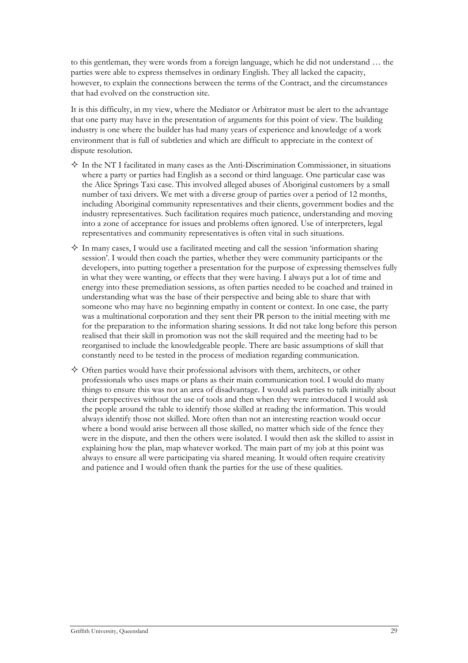to this gentleman, they were words from a foreign language, which he did not understand … the parties were able to express themselves in ordinary English. They all lacked the capacity, however, to explain the connections between the terms of the Contract, and the circumstances that had evolved on the construction site.

It is this difficulty, in my view, where the Mediator or Arbitrator must be alert to the advantage that one party may have in the presentation of arguments for this point of view. The building industry is one where the builder has had many years of experience and knowledge of a work environment that is full of subtleties and which are difficult to appreciate in the context of dispute resolution.

- $\Diamond$  In the NT I facilitated in many cases as the Anti-Discrimination Commissioner, in situations where a party or parties had English as a second or third language. One particular case was the Alice Springs Taxi case. This involved alleged abuses of Aboriginal customers by a small number of taxi drivers. We met with a diverse group of parties over a period of 12 months, including Aboriginal community representatives and their clients, government bodies and the industry representatives. Such facilitation requires much patience, understanding and moving into a zone of acceptance for issues and problems often ignored. Use of interpreters, legal representatives and community representatives is often vital in such situations.
- $\Diamond$  In many cases, I would use a facilitated meeting and call the session 'information sharing session'. I would then coach the parties, whether they were community participants or the developers, into putting together a presentation for the purpose of expressing themselves fully in what they were wanting, or effects that they were having. I always put a lot of time and energy into these premediation sessions, as often parties needed to be coached and trained in understanding what was the base of their perspective and being able to share that with someone who may have no beginning empathy in content or context. In one case, the party was a multinational corporation and they sent their PR person to the initial meeting with me for the preparation to the information sharing sessions. It did not take long before this person realised that their skill in promotion was not the skill required and the meeting had to be reorganised to include the knowledgeable people. There are basic assumptions of skill that constantly need to be tested in the process of mediation regarding communication.
- $\diamondsuit$  Often parties would have their professional advisors with them, architects, or other professionals who uses maps or plans as their main communication tool. I would do many things to ensure this was not an area of disadvantage. I would ask parties to talk initially about their perspectives without the use of tools and then when they were introduced I would ask the people around the table to identify those skilled at reading the information. This would always identify those not skilled. More often than not an interesting reaction would occur where a bond would arise between all those skilled, no matter which side of the fence they were in the dispute, and then the others were isolated. I would then ask the skilled to assist in explaining how the plan, map whatever worked. The main part of my job at this point was always to ensure all were participating via shared meaning. It would often require creativity and patience and I would often thank the parties for the use of these qualities.